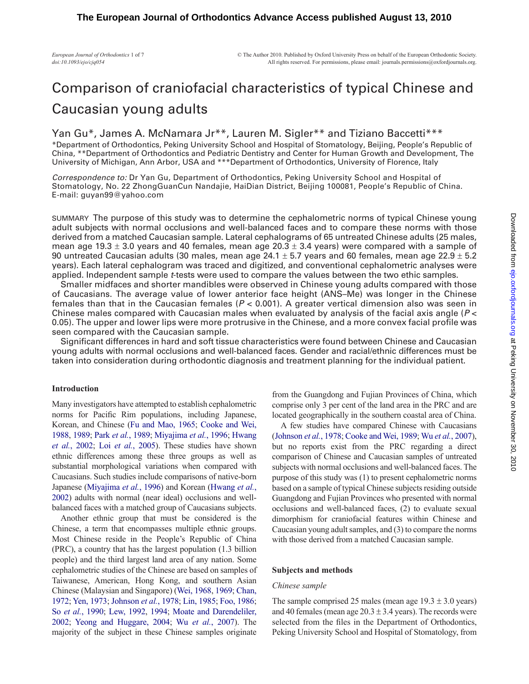# Comparison of craniofacial characteristics of typical Chinese and Caucasian young adults

## Yan Gu\*, James A. McNamara Jr\*\*, Lauren M. Sigler\*\* and Tiziano Baccetti\*\*\*

\*Department of Orthodontics, Peking University School and Hospital of Stomatology, Beijing, People's Republic of China, \*\*Department of Orthodontics and Pediatric Dentistry and Center for Human Growth and Development, The University of Michigan, Ann Arbor, USA and \*\*\*Department of Orthodontics, University of Florence, Italy

*Correspondence to:* Dr Yan Gu, Department of Orthodontics, Peking University School and Hospital of Stomatology, No. 22 ZhongGuanCun Nandajie, HaiDian District, Beijing 100081, People's Republic of China. E-mail: guyan99@yahoo.com

SUMMARY The purpose of this study was to determine the cephalometric norms of typical Chinese young adult subjects with normal occlusions and well-balanced faces and to compare these norms with those derived from a matched Caucasian sample. Lateral cephalograms of 65 untreated Chinese adults (25 males, mean age 19.3  $\pm$  3.0 years and 40 females, mean age 20.3  $\pm$  3.4 years) were compared with a sample of 90 untreated Caucasian adults (30 males, mean age  $24.1 \pm 5.7$  years and 60 females, mean age  $22.9 \pm 5.2$ years). Each lateral cephalogram was traced and digitized, and conventional cephalometric analyses were applied. Independent sample *t*-tests were used to compare the values between the two ethic samples.

Smaller midfaces and shorter mandibles were observed in Chinese young adults compared with those of Caucasians. The average value of lower anterior face height (ANS–Me) was longer in the Chinese females than that in the Caucasian females (*P* < 0.001). A greater vertical dimension also was seen in Chinese males compared with Caucasian males when evaluated by analysis of the facial axis angle (*P* < 0.05). The upper and lower lips were more protrusive in the Chinese, and a more convex facial profile was seen compared with the Caucasian sample.

Significant differences in hard and soft tissue characteristics were found between Chinese and Caucasian young adults with normal occlusions and well-balanced faces. Gender and racial/ethnic differences must be taken into consideration during orthodontic diagnosis and treatment planning for the individual patient.

### **Introduction**

Many investigators have attempted to establish cephalometric norms for Pacific Rim populations, including Japanese, Korean, and Chinese [\(Fu and Mao, 1965](#page-6-0); [Cooke and Wei,](#page-6-1) [1988,](#page-6-1) [1989](#page-6-2); Park *et al.*[, 1989;](#page-6-3) [Miyajima](#page-6-4) *et al.*, 1996; [Hwang](#page-6-5) *et al.*[, 2002;](#page-6-5) Loi *et al.*[, 2005](#page-6-6)). These studies have shown ethnic differences among these three groups as well as substantial morphological variations when compared with Caucasians. Such studies include comparisons of native-born Japanese ([Miyajima](#page-6-4) *et al.*, 1996) and Korean ([Hwang](#page-6-5) *et al.*, [2002\)](#page-6-5) adults with normal (near ideal) occlusions and wellbalanced faces with a matched group of Caucasians subjects.

Another ethnic group that must be considered is the Chinese, a term that encompasses multiple ethnic groups. Most Chinese reside in the People's Republic of China (PRC), a country that has the largest population (1.3 billion people) and the third largest land area of any nation. Some cephalometric studies of the Chinese are based on samples of Taiwanese, American, Hong Kong, and southern Asian Chinese (Malaysian and Singapore) [\(Wei, 1968,](#page-6-7) [1969](#page-6-8); [Chan,](#page-6-9) [1972;](#page-6-9) [Yen, 197](#page-6-10)3; [Johnson](#page-6-11) *et al.*, 1978; [Lin, 1985;](#page-6-12) [Foo, 1986](#page-6-13); So *et al.*[, 1990;](#page-6-14) [Lew, 1992](#page-6-15), [1994;](#page-6-16) [Moate and Darendeliler,](#page-6-17) [2002;](#page-6-17) [Yeong and Huggare, 2004;](#page-6-18) Wu *et al.*[, 2007](#page-6-19)). The majority of the subject in these Chinese samples originate

from the Guangdong and Fujian Provinces of China, which comprise only 3 per cent of the land area in the PRC and are located geographically in the southern coastal area of China.

A few studies have compared Chinese with Caucasians ([Johnson](#page-6-11) *et al.*, 1978; [Cooke and Wei, 1989](#page-6-2); Wu *et al.*[, 2007](#page-6-19)), but no reports exist from the PRC regarding a direct comparison of Chinese and Caucasian samples of untreated subjects with normal occlusions and well-balanced faces. The purpose of this study was (1) to present cephalometric norms based on a sample of typical Chinese subjects residing outside Guangdong and Fujian Provinces who presented with normal occlusions and well-balanced faces, (2) to evaluate sexual dimorphism for craniofacial features within Chinese and Caucasian young adult samples, and (3) to compare the norms with those derived from a matched Caucasian sample.

### **Subjects and methods**

#### *Chinese sample*

The sample comprised 25 males (mean age  $19.3 \pm 3.0$  years) and 40 females (mean age  $20.3 \pm 3.4$  years). The records were selected from the files in the Department of Orthodontics, Peking University School and Hospital of Stomatology, from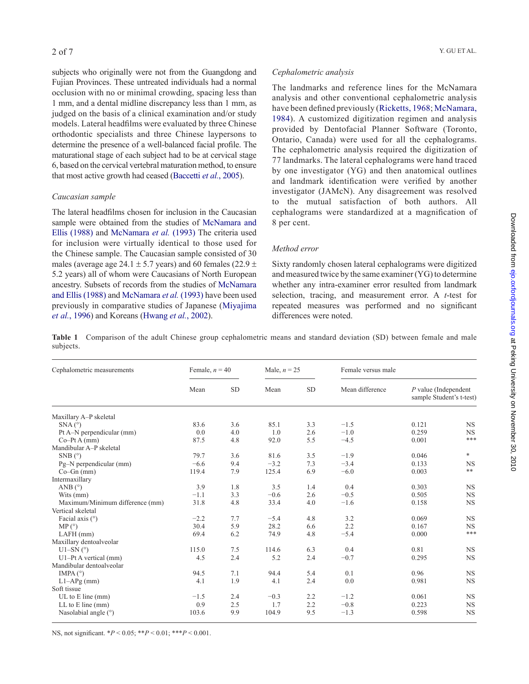subjects who originally were not from the Guangdong and Fujian Provinces. These untreated individuals had a normal occlusion with no or minimal crowding, spacing less than 1 mm, and a dental midline discrepancy less than 1 mm, as judged on the basis of a clinical examination and/or study models. Lateral headfilms were evaluated by three Chinese orthodontic specialists and three Chinese laypersons to determine the presence of a well-balanced facial profile. The maturational stage of each subject had to be at cervical stage 6, based on the cervical vertebral maturation method, to ensure that most active growth had ceased [\(Baccetti](#page-6-20) *et al.*, 2005).

### *Caucasian sample*

The lateral headfilms chosen for inclusion in the Caucasian sample were obtained from the studies of [McNamara and](#page-6-21) [Ellis \(1988\)](#page-6-21) and [McNamara](#page-6-22) *et al.* (1993) The criteria used for inclusion were virtually identical to those used for the Chinese sample. The Caucasian sample consisted of 30 males (average age 24.1  $\pm$  5.7 years) and 60 females (22.9  $\pm$ 5.2 years) all of whom were Caucasians of North European ancestry. Subsets of records from the studies of [McNamara](#page-6-21) [and Ellis \(1988\)](#page-6-21) and [McNamara](#page-6-22) *et al.* (1993) have been used previously in comparative studies of Japanese ([Miyajima](#page-6-4) *et al.*[, 1996\)](#page-6-4) and Koreans ([Hwang](#page-6-5) *et al.*, 2002).

#### *Cephalometric analysis*

The landmarks and reference lines for the McNamara analysis and other conventional cephalometric analysis have been defined previously ([Ricketts, 196](#page-6-23)8; [McNamara,](#page-6-24) [1984\)](#page-6-24). A customized digitization regimen and analysis provided by Dentofacial Planner Software (Toronto, Ontario, Canada) were used for all the cephalograms. The cephalometric analysis required the digitization of 77 landmarks. The lateral cephalograms were hand traced by one investigator (YG) and then anatomical outlines and landmark identification were verified by another investigator (JAMcN). Any disagreement was resolved to the mutual satisfaction of both authors. All cephalograms were standardized at a magnification of 8 per cent.

#### *Method error*

Sixty randomly chosen lateral cephalograms were digitized and measured twice by the same examiner (YG) to determine whether any intra-examiner error resulted from landmark selection, tracing, and measurement error. A *t*-test for repeated measures was performed and no significant differences were noted.

**Table 1** Comparison of the adult Chinese group cephalometric means and standard deviation (SD) between female and male subjects.

| Cephalometric measurements      | Female, $n = 40$<br>Male, $n = 25$ |           | Female versus male |           |                 |                                                    |             |
|---------------------------------|------------------------------------|-----------|--------------------|-----------|-----------------|----------------------------------------------------|-------------|
|                                 | Mean                               | <b>SD</b> | Mean               | <b>SD</b> | Mean difference | $P$ value (Independent<br>sample Student's t-test) |             |
| Maxillary A-P skeletal          |                                    |           |                    |           |                 |                                                    |             |
| SNA (°)                         | 83.6                               | 3.6       | 85.1               | 3.3       | $-1.5$          | 0.121                                              | <b>NS</b>   |
| Pt A-N perpendicular (mm)       | 0.0                                | 4.0       | 1.0                | 2.6       | $-1.0$          | 0.259                                              | <b>NS</b>   |
| $Co-Pt A (mm)$                  | 87.5                               | 4.8       | 92.0               | 5.5       | $-4.5$          | 0.001                                              | $***$       |
| Mandibular A-P skeletal         |                                    |           |                    |           |                 |                                                    |             |
| $SNB(^{\circ})$                 | 79.7                               | 3.6       | 81.6               | 3.5       | $-1.9$          | 0.046                                              | *           |
| Pg-N perpendicular (mm)         | $-6.6$                             | 9.4       | $-3.2$             | 7.3       | $-3.4$          | 0.133                                              | <b>NS</b>   |
| $Co-Gn$ (mm)                    | 119.4                              | 7.9       | 125.4              | 6.9       | $-6.0$          | 0.003                                              | $***$       |
| Intermaxillary                  |                                    |           |                    |           |                 |                                                    |             |
| ANB $(^{\circ})$                | 3.9                                | 1.8       | 3.5                | 1.4       | 0.4             | 0.303                                              | <b>NS</b>   |
| Wits (mm)                       | $-1.1$                             | 3.3       | $-0.6$             | 2.6       | $-0.5$          | 0.505                                              | $_{\rm NS}$ |
| Maximum/Minimum difference (mm) | 31.8                               | 4.8       | 33.4               | 4.0       | $-1.6$          | 0.158                                              | <b>NS</b>   |
| Vertical skeletal               |                                    |           |                    |           |                 |                                                    |             |
| Facial axis $(°)$               | $-2.2$                             | 7.7       | $-5.4$             | 4.8       | 3.2             | 0.069                                              | <b>NS</b>   |
| MP (°)                          | 30.4                               | 5.9       | 28.2               | 6.6       | 2.2             | 0.167                                              | <b>NS</b>   |
| $LAFH$ (mm)                     | 69.4                               | 6.2       | 74.9               | 4.8       | $-5.4$          | 0.000                                              | ***         |
| Maxillary dentoalveolar         |                                    |           |                    |           |                 |                                                    |             |
| $U1-SN$ ( $\degree$ )           | 115.0                              | 7.5       | 114.6              | 6.3       | 0.4             | 0.81                                               | <b>NS</b>   |
| $U1-PtA$ vertical (mm)          | 4.5                                | 2.4       | 5.2                | 2.4       | $-0.7$          | 0.295                                              | <b>NS</b>   |
| Mandibular dentoalveolar        |                                    |           |                    |           |                 |                                                    |             |
| IMPA $(°)$                      | 94.5                               | 7.1       | 94.4               | 5.4       | 0.1             | 0.96                                               | <b>NS</b>   |
| $L1-APg$ (mm)                   | 4.1                                | 1.9       | 4.1                | 2.4       | 0.0             | 0.981                                              | $_{\rm NS}$ |
| Soft tissue                     |                                    |           |                    |           |                 |                                                    |             |
| $UL$ to $E$ line (mm)           | $-1.5$                             | 2.4       | $-0.3$             | 2.2       | $-1.2$          | 0.061                                              | <b>NS</b>   |
| $LL$ to $E$ line (mm)           | 0.9                                | 2.5       | 1.7                | 2.2       | $-0.8$          | 0.223                                              | <b>NS</b>   |
| Nasolabial angle (°)            | 103.6                              | 9.9       | 104.9              | 9.5       | $-1.3$          | 0.598                                              | <b>NS</b>   |

NS, not significant. \**P* < 0.05; \*\**P* < 0.01; \*\*\**P* < 0.001.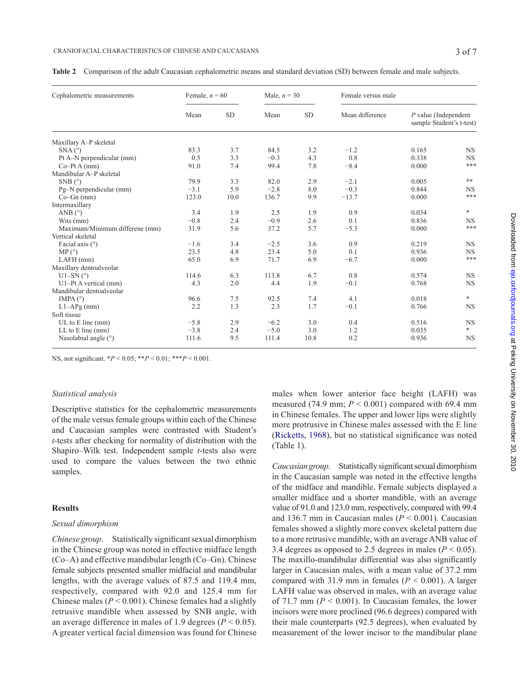|  |  | <b>Table 2</b> Comparison of the adult Caucasian cephalometric means and standard deviation (SD) between female and male subjects. |  |  |
|--|--|------------------------------------------------------------------------------------------------------------------------------------|--|--|
|  |  |                                                                                                                                    |  |  |

| Cephalometric measurements     | Female, $n = 60$ |           | Male, $n = 30$ |           | Female versus male |                                                    |           |
|--------------------------------|------------------|-----------|----------------|-----------|--------------------|----------------------------------------------------|-----------|
|                                | Mean             | <b>SD</b> | Mean           | <b>SD</b> | Mean difference    | $P$ value (Independent<br>sample Student's t-test) |           |
| Maxillary A-P skeletal         |                  |           |                |           |                    |                                                    |           |
| SNA (°)                        | 83.3             | 3.7       | 84.5           | 3.2       | $-1.2$             | 0.165                                              | <b>NS</b> |
| Pt A-N perpendicular (mm)      | 0.5              | 3.3       | $-0.3$         | 4.3       | 0.8                | 0.338                                              | <b>NS</b> |
| $Co-Pt A (mm)$                 | 91.0             | 7.4       | 99.4           | 7.8       | $-8.4$             | 0.000                                              | $***$     |
| Mandibular A-P skeletal        |                  |           |                |           |                    |                                                    |           |
| $SNB(^{\circ})$                | 79.9             | 3.3       | 82.0           | 2.9       | $-2.1$             | 0.005                                              | **        |
| Pg-N perpendicular (mm)        | $-3.1$           | 5.9       | $-2.8$         | 8.0       | $-0.3$             | 0.844                                              | <b>NS</b> |
| $Co-Gn$ (mm)                   | 123.0            | 10.0      | 136.7          | 9.9       | $-13.7$            | 0.000                                              | $***$     |
| Intermaxillary                 |                  |           |                |           |                    |                                                    |           |
| ANB $(^{\circ})$               | 3.4              | 1.9       | 2.5            | 1.9       | 0.9                | 0.034                                              | *         |
| Wits (mm)                      | $-0.8$           | 2.4       | $-0.9$         | 2.6       | 0.1                | 0.836                                              | <b>NS</b> |
| Maximum/Minimum differene (mm) | 31.9             | 5.6       | 37.2           | 5.7       | $-5.3$             | 0.000                                              | ***       |
| Vertical skeletal              |                  |           |                |           |                    |                                                    |           |
| Facial axis $(°)$              | $-1.6$           | 3.4       | $-2.5$         | 3.6       | 0.9                | 0.219                                              | <b>NS</b> |
| MP (°)                         | 23.5             | 4.8       | 23.4           | 5.0       | 0.1                | 0.936                                              | <b>NS</b> |
| $LAFH$ (mm)                    | 65.0             | 6.9       | 71.7           | 6.9       | $-6.7$             | 0.000                                              | $***$     |
| Maxillary dentoalveolar        |                  |           |                |           |                    |                                                    |           |
| $U1-SN$ ( $\degree$ )          | 114.6            | 6.3       | 113.8          | 6.7       | 0.8                | 0.574                                              | <b>NS</b> |
| $U1-PtA$ vertical (mm)         | 4.3              | 2.0       | 4.4            | 1.9       | $-0.1$             | 0.768                                              | <b>NS</b> |
| Mandibular dentoalveolar       |                  |           |                |           |                    |                                                    |           |
| IMPA $(°)$                     | 96.6             | 7.5       | 92.5           | 7.4       | 4.1                | 0.018                                              | $\ast$    |
| $L1-APg$ (mm)                  | 2.2              | 1.3       | 2.3            | 1.7       | $-0.1$             | 0.766                                              | <b>NS</b> |
| Soft tissue                    |                  |           |                |           |                    |                                                    |           |
| $UL$ to $E$ line (mm)          | $-5.8$           | 2.9       | $-6.2$         | 3.0       | 0.4                | 0.516                                              | <b>NS</b> |
| $LL$ to $E$ line (mm)          | $-3.8$           | 2.4       | $-5.0$         | 3.0       | 1.2                | 0.035                                              | $\ast$    |
| Nasolabial angle $(°)$         | 111.6            | 9.5       | 111.4          | 10.8      | 0.2                | 0.936                                              | <b>NS</b> |

NS, not significant. \**P* < 0.05; \*\**P* < 0.01; \*\*\**P* < 0.001.

#### *Statistical analysis*

Descriptive statistics for the cephalometric measurements of the male versus female groups within each of the Chinese and Caucasian samples were contrasted with Student's *t*-tests after checking for normality of distribution with the Shapiro–Wilk test. Independent sample *t*-tests also were used to compare the values between the two ethnic samples.

#### **Results**

#### *Sexual dimorphism*

*Chinese group*. Statistically significant sexual dimorphism in the Chinese group was noted in effective midface length (Co–A) and effective mandibular length (Co–Gn). Chinese female subjects presented smaller midfacial and mandibular lengths, with the average values of 87.5 and 119.4 mm, respectively, compared with 92.0 and 125.4 mm for Chinese males ( $P < 0.001$ ). Chinese females had a slightly retrusive mandible when assessed by SNB angle, with an average difference in males of 1.9 degrees ( $P < 0.05$ ). A greater vertical facial dimension was found for Chinese

males when lower anterior face height (LAFH) was measured (74.9 mm;  $P < 0.001$ ) compared with 69.4 mm in Chinese females. The upper and lower lips were slightly more protrusive in Chinese males assessed with the E line ([Ricketts, 196](#page-6-23)8), but no statistical significance was noted (Table 1).

*Caucasian group*. Statistically significant sexual dimorphism in the Caucasian sample was noted in the effective lengths of the midface and mandible. Female subjects displayed a smaller midface and a shorter mandible, with an average value of 91.0 and 123.0 mm, respectively, compared with 99.4 and 136.7 mm in Caucasian males  $(P < 0.001)$ . Caucasian females showed a slightly more convex skeletal pattern due to a more retrusive mandible, with an average ANB value of 3.4 degrees as opposed to 2.5 degrees in males ( $P < 0.05$ ). The maxillo-mandibular differential was also significantly larger in Caucasian males, with a mean value of 37.2 mm compared with 31.9 mm in females (*P* < 0.001). A larger LAFH value was observed in males, with an average value of 71.7 mm ( $P < 0.001$ ). In Caucasian females, the lower incisors were more proclined (96.6 degrees) compared with their male counterparts (92.5 degrees), when evaluated by measurement of the lower incisor to the mandibular plane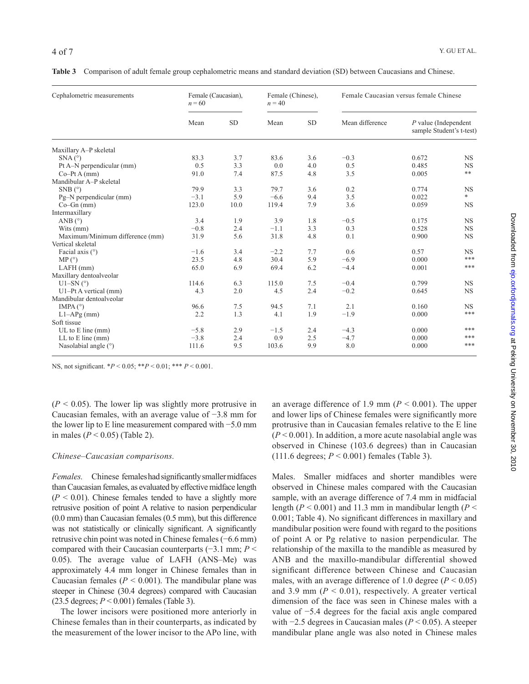|  |  |  | Table 3 Comparison of adult female group cephalometric means and standard deviation (SD) between Caucasians and Chinese. |
|--|--|--|--------------------------------------------------------------------------------------------------------------------------|
|  |  |  |                                                                                                                          |

| Cephalometric measurements      | $n = 60$ | Female (Caucasian), |        | Female (Chinese). | Female Caucasian versus female Chinese |                                                    |           |
|---------------------------------|----------|---------------------|--------|-------------------|----------------------------------------|----------------------------------------------------|-----------|
|                                 | Mean     | <b>SD</b>           | Mean   | <b>SD</b>         | Mean difference                        | $P$ value (Independent<br>sample Student's t-test) |           |
| Maxillary A-P skeletal          |          |                     |        |                   |                                        |                                                    |           |
| $SNA(^{\circ})$                 | 83.3     | 3.7                 | 83.6   | 3.6               | $-0.3$                                 | 0.672                                              | <b>NS</b> |
| Pt A-N perpendicular (mm)       | 0.5      | 3.3                 | 0.0    | 4.0               | 0.5                                    | 0.485                                              | <b>NS</b> |
| $Co-Pt A (mm)$                  | 91.0     | 7.4                 | 87.5   | 4.8               | 3.5                                    | 0.005                                              | **        |
| Mandibular A-P skeletal         |          |                     |        |                   |                                        |                                                    |           |
| $SNB(^{\circ})$                 | 79.9     | 3.3                 | 79.7   | 3.6               | 0.2                                    | 0.774                                              | <b>NS</b> |
| Pg-N perpendicular (mm)         | $-3.1$   | 5.9                 | $-6.6$ | 9.4               | 3.5                                    | 0.022                                              | $*$       |
| $Co-Gn$ (mm)                    | 123.0    | 10.0                | 119.4  | 7.9               | 3.6                                    | 0.059                                              | <b>NS</b> |
| Intermaxillary                  |          |                     |        |                   |                                        |                                                    |           |
| ANB $(^{\circ})$                | 3.4      | 1.9                 | 3.9    | 1.8               | $-0.5$                                 | 0.175                                              | <b>NS</b> |
| Wits (mm)                       | $-0.8$   | 2.4                 | $-1.1$ | 3.3               | 0.3                                    | 0.528                                              | <b>NS</b> |
| Maximum/Minimum difference (mm) | 31.9     | 5.6                 | 31.8   | 4.8               | 0.1                                    | 0.900                                              | <b>NS</b> |
| Vertical skeletal               |          |                     |        |                   |                                        |                                                    |           |
| Facial axis $(°)$               | $-1.6$   | 3.4                 | $-2.2$ | 7.7               | 0.6                                    | 0.57                                               | <b>NS</b> |
| MP (°)                          | 23.5     | 4.8                 | 30.4   | 5.9               | $-6.9$                                 | 0.000                                              | ***       |
| $LAFH$ (mm)                     | 65.0     | 6.9                 | 69.4   | 6.2               | $-4.4$                                 | 0.001                                              | ***       |
| Maxillary dentoalveolar         |          |                     |        |                   |                                        |                                                    |           |
| U1-SN $(°)$                     | 114.6    | 6.3                 | 115.0  | 7.5               | $-0.4$                                 | 0.799                                              | <b>NS</b> |
| $U1-PtA$ vertical (mm)          | 4.3      | 2.0                 | 4.5    | 2.4               | $-0.2$                                 | 0.645                                              | <b>NS</b> |
| Mandibular dentoalveolar        |          |                     |        |                   |                                        |                                                    |           |
| IMPA $(°)$                      | 96.6     | 7.5                 | 94.5   | 7.1               | 2.1                                    | 0.160                                              | <b>NS</b> |
| $L1-APg$ (mm)                   | 2.2      | 1.3                 | 4.1    | 1.9               | $-1.9$                                 | 0.000                                              | ***       |
| Soft tissue                     |          |                     |        |                   |                                        |                                                    |           |
| UL to $E$ line (mm)             | $-5.8$   | 2.9                 | $-1.5$ | 2.4               | $-4.3$                                 | 0.000                                              | ***       |
| $LL$ to $E$ line (mm)           | $-3.8$   | 2.4                 | 0.9    | 2.5               | $-4.7$                                 | 0.000                                              | ***       |
| Nasolabial angle $(°)$          | 111.6    | 9.5                 | 103.6  | 9.9               | 8.0                                    | 0.000                                              | ***       |

NS, not significant. \**P* < 0.05; \*\**P* < 0.01; \*\*\* *P* < 0.001.

 $(P < 0.05)$ . The lower lip was slightly more protrusive in Caucasian females, with an average value of −3.8 mm for the lower lip to E line measurement compared with −5.0 mm in males (*P* < 0.05) (Table 2).

### *Chinese–Caucasian comparisons.*

*Females.* Chinese females had significantly smaller midfaces than Caucasian females, as evaluated by effective midface length  $(P < 0.01)$ . Chinese females tended to have a slightly more retrusive position of point A relative to nasion perpendicular (0.0 mm) than Caucasian females (0.5 mm), but this difference was not statistically or clinically significant. A significantly retrusive chin point was noted in Chinese females (−6.6 mm) compared with their Caucasian counterparts (−3.1 mm; *P* < 0.05). The average value of LAFH (ANS–Me) was approximately 4.4 mm longer in Chinese females than in Caucasian females ( $P < 0.001$ ). The mandibular plane was steeper in Chinese (30.4 degrees) compared with Caucasian (23.5 degrees; *P* < 0.001) females (Table 3).

The lower incisors were positioned more anteriorly in Chinese females than in their counterparts, as indicated by the measurement of the lower incisor to the APo line, with an average difference of 1.9 mm ( $P < 0.001$ ). The upper and lower lips of Chinese females were significantly more protrusive than in Caucasian females relative to the E line  $(P<0.001)$ . In addition, a more acute nasolabial angle was observed in Chinese (103.6 degrees) than in Caucasian (111.6 degrees; *P* < 0.001) females (Table 3).

Males. Smaller midfaces and shorter mandibles were observed in Chinese males compared with the Caucasian sample, with an average difference of 7.4 mm in midfacial length ( $P < 0.001$ ) and 11.3 mm in mandibular length ( $P <$ 0.001; Table 4). No significant differences in maxillary and mandibular position were found with regard to the positions of point A or Pg relative to nasion perpendicular. The relationship of the maxilla to the mandible as measured by ANB and the maxillo-mandibular differential showed significant difference between Chinese and Caucasian males, with an average difference of 1.0 degree  $(P < 0.05)$ and 3.9 mm ( $P < 0.01$ ), respectively. A greater vertical dimension of the face was seen in Chinese males with a value of −5.4 degrees for the facial axis angle compared with −2.5 degrees in Caucasian males (*P* < 0.05). A steeper mandibular plane angle was also noted in Chinese males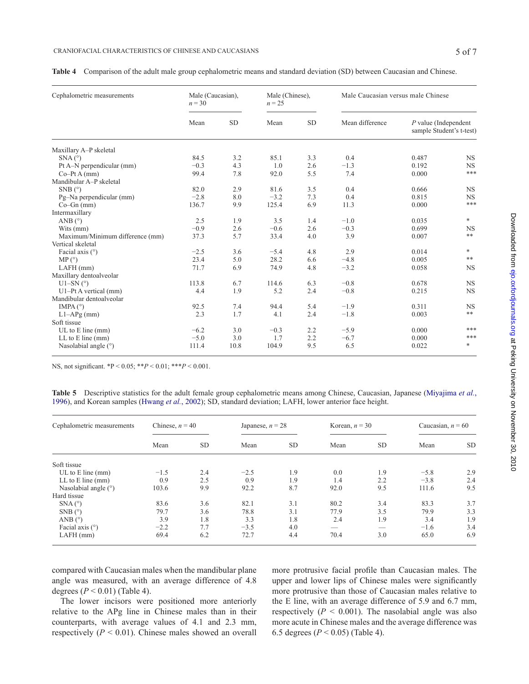|  | Table 4 Comparison of the adult male group cephalometric means and standard deviation (SD) between Caucasian and Chinese. |  |  |  |  |  |
|--|---------------------------------------------------------------------------------------------------------------------------|--|--|--|--|--|
|--|---------------------------------------------------------------------------------------------------------------------------|--|--|--|--|--|

| Cephalometric measurements      | Male (Caucasian),<br>$n = 30$ |           | Male (Chinese),<br>$n = 25$ |           | Male Caucasian versus male Chinese |                                                    |            |
|---------------------------------|-------------------------------|-----------|-----------------------------|-----------|------------------------------------|----------------------------------------------------|------------|
|                                 | Mean                          | <b>SD</b> | Mean                        | <b>SD</b> | Mean difference                    | $P$ value (Independent<br>sample Student's t-test) |            |
| Maxillary A-P skeletal          |                               |           |                             |           |                                    |                                                    |            |
| $SNA(^{\circ})$                 | 84.5                          | 3.2       | 85.1                        | 3.3       | 0.4                                | 0.487                                              | <b>NS</b>  |
| Pt A-N perpendicular (mm)       | $-0.3$                        | 4.3       | 1.0                         | 2.6       | $-1.3$                             | 0.192                                              | <b>NS</b>  |
| $Co-Pt A (mm)$                  | 99.4                          | 7.8       | 92.0                        | 5.5       | 7.4                                | 0.000                                              | ***        |
| Mandibular A-P skeletal         |                               |           |                             |           |                                    |                                                    |            |
| $SNB$ ( $\degree$ )             | 82.0                          | 2.9       | 81.6                        | 3.5       | 0.4                                | 0.666                                              | <b>NS</b>  |
| Pg-Na perpendicular (mm)        | $-2.8$                        | 8.0       | $-3.2$                      | 7.3       | 0.4                                | 0.815                                              | <b>NS</b>  |
| $Co-Gn$ (mm)                    | 136.7                         | 9.9       | 125.4                       | 6.9       | 11.3                               | 0.000                                              | ***        |
| Intermaxillary                  |                               |           |                             |           |                                    |                                                    |            |
| ANB $(^{\circ})$                | 2.5                           | 1.9       | 3.5                         | 1.4       | $-1.0$                             | 0.035                                              | $\ast$     |
| Wits (mm)                       | $-0.9$                        | 2.6       | $-0.6$                      | 2.6       | $-0.3$                             | 0.699                                              | <b>NS</b>  |
| Maximum/Minimum difference (mm) | 37.3                          | 5.7       | 33.4                        | 4.0       | 3.9                                | 0.007                                              | $\ast\ast$ |
| Vertical skeletal               |                               |           |                             |           |                                    |                                                    |            |
| Facial axis $(°)$               | $-2.5$                        | 3.6       | $-5.4$                      | 4.8       | 2.9                                | 0.014                                              | $\ast$     |
| MP (°)                          | 23.4                          | 5.0       | 28.2                        | 6.6       | $-4.8$                             | 0.005                                              | $**$       |
| $LAFH$ (mm)                     | 71.7                          | 6.9       | 74.9                        | 4.8       | $-3.2$                             | 0.058                                              | <b>NS</b>  |
| Maxillary dentoalveolar         |                               |           |                             |           |                                    |                                                    |            |
| U1-SN $(°)$                     | 113.8                         | 6.7       | 114.6                       | 6.3       | $-0.8$                             | 0.678                                              | <b>NS</b>  |
| $U1-Pt A vertical (mm)$         | 4.4                           | 1.9       | 5.2                         | 2.4       | $-0.8$                             | 0.215                                              | <b>NS</b>  |
| Mandibular dentoalveolar        |                               |           |                             |           |                                    |                                                    |            |
| IMPA $(°)$                      | 92.5                          | 7.4       | 94.4                        | 5.4       | $-1.9$                             | 0.311                                              | <b>NS</b>  |
| $L1-APg$ (mm)                   | 2.3                           | 1.7       | 4.1                         | 2.4       | $-1.8$                             | 0.003                                              | **         |
| Soft tissue                     |                               |           |                             |           |                                    |                                                    |            |
| $UL$ to $E$ line (mm)           | $-6.2$                        | 3.0       | $-0.3$                      | 2.2       | $-5.9$                             | 0.000                                              | ***        |
| $LL$ to $E$ line (mm)           | $-5.0$                        | 3.0       | 1.7                         | 2.2       | $-6.7$                             | 0.000                                              | ***        |
| Nasolabial angle $(°)$          | 111.4                         | 10.8      | 104.9                       | 9.5       | 6.5                                | 0.022                                              | *          |

NS, not significant. \*P < 0.05; \*\**P* < 0.01; \*\*\**P* < 0.001.

**Table 5** Descriptive statistics for the adult female group cephalometric means among Chinese, Caucasian, Japanese ([Miyajima](#page-6-4) *et al.*, [1996](#page-6-4)), and Korean samples ([Hwang](#page-6-5) *et al.*, 2002); SD, standard deviation; LAFH, lower anterior face height.

| Cephalometric measurements | Chinese, $n = 40$ |           | Japanese, $n = 28$ |           | Korean, $n = 30$ |           | Caucasian, $n = 60$ |           |
|----------------------------|-------------------|-----------|--------------------|-----------|------------------|-----------|---------------------|-----------|
|                            | Mean              | <b>SD</b> | Mean               | <b>SD</b> | Mean             | <b>SD</b> | Mean                | <b>SD</b> |
| Soft tissue                |                   |           |                    |           |                  |           |                     |           |
| UL to $E$ line (mm)        | $-1.5$            | 2.4       | $-2.5$             | 1.9       | 0.0              | 1.9       | $-5.8$              | 2.9       |
| $LL$ to $E$ line (mm)      | 0.9               | 2.5       | 0.9                | 1.9       | 1.4              | 2.2       | $-3.8$              | 2.4       |
| Nasolabial angle (°)       | 103.6             | 9.9       | 92.2               | 8.7       | 92.0             | 9.5       | 111.6               | 9.5       |
| Hard tissue                |                   |           |                    |           |                  |           |                     |           |
| $SNA(^{\circ})$            | 83.6              | 3.6       | 82.1               | 3.1       | 80.2             | 3.4       | 83.3                | 3.7       |
| $SNB(^{\circ})$            | 79.7              | 3.6       | 78.8               | 3.1       | 77.9             | 3.5       | 79.9                | 3.3       |
| ANB $(^{\circ})$           | 3.9               | 1.8       | 3.3                | 1.8       | 2.4              | 1.9       | 3.4                 | 1.9       |
| Facial axis $(°)$          | $-2.2$            | 7.7       | $-3.5$             | 4.0       | _                | __        | $-1.6$              | 3.4       |
| $LAFH$ (mm)                | 69.4              | 6.2       | 72.7               | 4.4       | 70.4             | 3.0       | 65.0                | 6.9       |

compared with Caucasian males when the mandibular plane angle was measured, with an average difference of 4.8 degrees (*P* < 0.01) (Table 4).

The lower incisors were positioned more anteriorly relative to the APg line in Chinese males than in their counterparts, with average values of 4.1 and 2.3 mm, respectively  $(P < 0.01)$ . Chinese males showed an overall more protrusive facial profile than Caucasian males. The upper and lower lips of Chinese males were significantly more protrusive than those of Caucasian males relative to the E line, with an average difference of 5.9 and 6.7 mm, respectively  $(P < 0.001)$ . The nasolabial angle was also more acute in Chinese males and the average difference was 6.5 degrees (*P* < 0.05) (Table 4).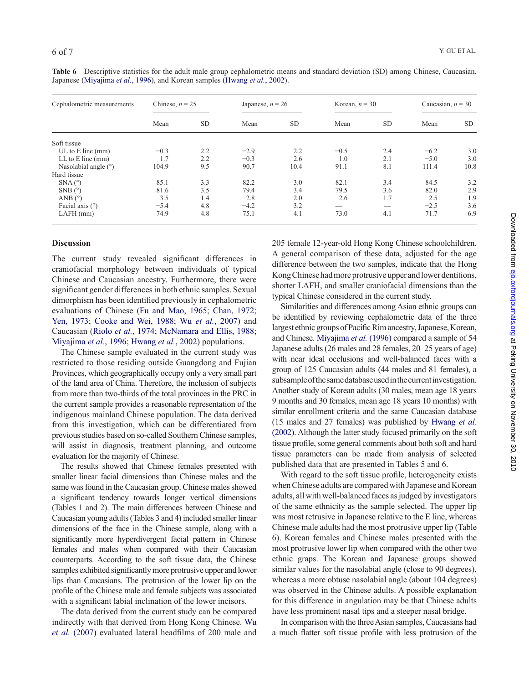| Cephalometric measurements | Chinese, $n = 25$ |           | Japanese, $n = 26$ |           | Korean, $n = 30$ |                          | Caucasian, $n = 30$ |      |
|----------------------------|-------------------|-----------|--------------------|-----------|------------------|--------------------------|---------------------|------|
|                            | Mean              | <b>SD</b> | Mean               | <b>SD</b> | Mean             | <b>SD</b>                | Mean                | SD.  |
| Soft tissue                |                   |           |                    |           |                  |                          |                     |      |
| UL to $E$ line (mm)        | $-0.3$            | 2.2       | $-2.9$             | 2.2       | $-0.5$           | 2.4                      | $-6.2$              | 3.0  |
| $LL$ to $E$ line (mm)      | 1.7               | 2.2       | $-0.3$             | 2.6       | 1.0              | 2.1                      | $-5.0$              | 3.0  |
| Nasolabial angle $(°)$     | 104.9             | 9.5       | 90.7               | 10.4      | 91.1             | 8.1                      | 111.4               | 10.8 |
| Hard tissue                |                   |           |                    |           |                  |                          |                     |      |
| $SNA(^{\circ})$            | 85.1              | 3.3       | 82.2               | 3.0       | 82.1             | 3.4                      | 84.5                | 3.2  |
| $SNB(^{\circ})$            | 81.6              | 3.5       | 79.4               | 3.4       | 79.5             | 3.6                      | 82.0                | 2.9  |
| ANB $(^{\circ})$           | 3.5               | 1.4       | 2.8                | 2.0       | 2.6              | 1.7                      | 2.5                 | 1.9  |
| Facial axis $(°)$          | $-5.4$            | 4.8       | $-4.2$             | 3.2       |                  | $\overline{\phantom{a}}$ | $-2.5$              | 3.6  |
| $LAFH$ (mm)                | 74.9              | 4.8       | 75.1               | 4.1       | 73.0             | 4.1                      | 71.7                | 6.9  |

**Table 6** Descriptive statistics for the adult male group cephalometric means and standard deviation (SD) among Chinese, Caucasian, Japanese ([Miyajima](#page-6-4) *et al.*, 1996), and Korean samples ([Hwang](#page-6-5) *et al.*, 2002).

#### **Discussion**

The current study revealed significant differences in craniofacial morphology between individuals of typical Chinese and Caucasian ancestry. Furthermore, there were significant gender differences in both ethnic samples. Sexual dimorphism has been identified previously in cephalometric evaluations of Chinese ([Fu and Mao, 1965;](#page-6-0) [Chan, 1972](#page-6-9); [Yen, 197](#page-6-10)3; [Cooke and Wei, 1988](#page-6-1); Wu *et al.*[, 2007](#page-6-19)) and Caucasian (Riolo *et al.*[, 1974](#page-6-25); [McNamara and Ellis, 1988](#page-6-21); [Miyajima](#page-6-4) *et al.*, 1996; [Hwang](#page-6-5) *et al.*, 2002) populations.

The Chinese sample evaluated in the current study was restricted to those residing outside Guangdong and Fujian Provinces, which geographically occupy only a very small part of the land area of China. Therefore, the inclusion of subjects from more than two-thirds of the total provinces in the PRC in the current sample provides a reasonable representation of the indigenous mainland Chinese population. The data derived from this investigation, which can be differentiated from previous studies based on so-called Southern Chinese samples, will assist in diagnosis, treatment planning, and outcome evaluation for the majority of Chinese.

The results showed that Chinese females presented with smaller linear facial dimensions than Chinese males and the same was found in the Caucasian group. Chinese males showed a significant tendency towards longer vertical dimensions (Tables 1 and 2). The main differences between Chinese and Caucasian young adults (Tables 3 and 4) included smaller linear dimensions of the face in the Chinese sample, along with a significantly more hyperdivergent facial pattern in Chinese females and males when compared with their Caucasian counterparts. According to the soft tissue data, the Chinese samples exhibited significantly more protrusive upper and lower lips than Caucasians. The protrusion of the lower lip on the profile of the Chinese male and female subjects was associated with a significant labial inclination of the lower incisors.

The data derived from the current study can be compared indirectly with that derived from Hong Kong Chinese. [Wu](#page-6-19) *et al.* [\(2007\)](#page-6-19) evaluated lateral headfilms of 200 male and 205 female 12-year-old Hong Kong Chinese schoolchildren. A general comparison of these data, adjusted for the age difference between the two samples, indicate that the Hong Kong Chinese had more protrusive upper and lower dentitions, shorter LAFH, and smaller craniofacial dimensions than the typical Chinese considered in the current study.

Similarities and differences among Asian ethnic groups can be identified by reviewing cephalometric data of the three largest ethnic groups of Pacific Rim ancestry, Japanese, Korean, and Chinese. [Miyajima](#page-6-4) *et al.* (1996) compared a sample of 54 Japanese adults (26 males and 28 females, 20–25 years of age) with near ideal occlusions and well-balanced faces with a group of 125 Caucasian adults (44 males and 81 females), a subsample of the same database used in the current investigation. Another study of Korean adults (30 males, mean age 18 years 9 months and 30 females, mean age 18 years 10 months) with similar enrollment criteria and the same Caucasian database (15 males and 27 females) was published by [Hwang](#page-6-5) *et al.* [\(2002\).](#page-6-5) Although the latter study focused primarily on the soft tissue profile, some general comments about both soft and hard tissue parameters can be made from analysis of selected published data that are presented in Tables 5 and 6.

With regard to the soft tissue profile, heterogeneity exists when Chinese adults are compared with Japanese and Korean adults, all with well-balanced faces as judged by investigators of the same ethnicity as the sample selected. The upper lip was most retrusive in Japanese relative to the E line, whereas Chinese male adults had the most protrusive upper lip (Table 6). Korean females and Chinese males presented with the most protrusive lower lip when compared with the other two ethnic graps. The Korean and Japanese groups showed similar values for the nasolabial angle (close to 90 degrees), whereas a more obtuse nasolabial angle (about 104 degrees) was observed in the Chinese adults. A possible explanation for this difference in angulation may be that Chinese adults have less prominent nasal tips and a steeper nasal bridge.

In comparison with the three Asian samples, Caucasians had a much flatter soft tissue profile with less protrusion of the